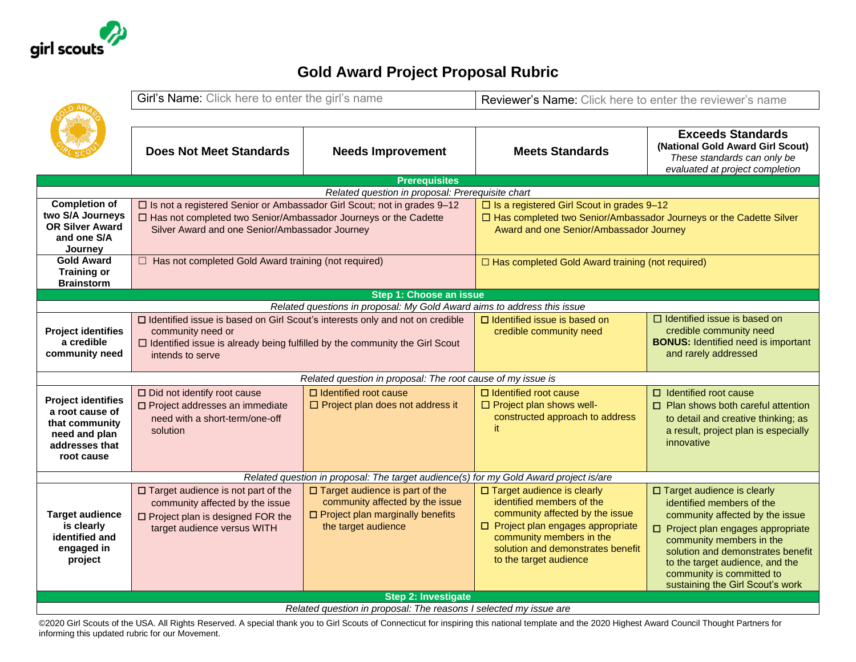

## **Gold Award Project Proposal Rubric**

|                                                                                       | Girl's Name: Click here to enter the girl's name                                                        |                                                                         | Reviewer's Name: Click here to enter the reviewer's name             |                                                                                                                                |  |  |  |
|---------------------------------------------------------------------------------------|---------------------------------------------------------------------------------------------------------|-------------------------------------------------------------------------|----------------------------------------------------------------------|--------------------------------------------------------------------------------------------------------------------------------|--|--|--|
|                                                                                       |                                                                                                         |                                                                         |                                                                      |                                                                                                                                |  |  |  |
|                                                                                       | <b>Does Not Meet Standards</b>                                                                          | <b>Needs Improvement</b>                                                | <b>Meets Standards</b>                                               | <b>Exceeds Standards</b><br>(National Gold Award Girl Scout)<br>These standards can only be<br>evaluated at project completion |  |  |  |
|                                                                                       |                                                                                                         | <b>Prerequisites</b>                                                    |                                                                      |                                                                                                                                |  |  |  |
|                                                                                       |                                                                                                         | Related question in proposal: Prerequisite chart                        |                                                                      |                                                                                                                                |  |  |  |
| <b>Completion of</b><br>two S/A Journeys                                              | □ Is not a registered Senior or Ambassador Girl Scout; not in grades 9-12                               |                                                                         | $\square$ Is a registered Girl Scout in grades 9-12                  |                                                                                                                                |  |  |  |
| <b>OR Silver Award</b>                                                                | □ Has not completed two Senior/Ambassador Journeys or the Cadette                                       |                                                                         | □ Has completed two Senior/Ambassador Journeys or the Cadette Silver |                                                                                                                                |  |  |  |
| and one S/A                                                                           | Silver Award and one Senior/Ambassador Journey                                                          |                                                                         | Award and one Senior/Ambassador Journey                              |                                                                                                                                |  |  |  |
| Journey                                                                               |                                                                                                         |                                                                         |                                                                      |                                                                                                                                |  |  |  |
| <b>Gold Award</b>                                                                     | $\Box$ Has not completed Gold Award training (not required)                                             |                                                                         | □ Has completed Gold Award training (not required)                   |                                                                                                                                |  |  |  |
| <b>Training or</b>                                                                    |                                                                                                         |                                                                         |                                                                      |                                                                                                                                |  |  |  |
| <b>Brainstorm</b>                                                                     |                                                                                                         |                                                                         |                                                                      |                                                                                                                                |  |  |  |
| Step 1: Choose an issue                                                               |                                                                                                         |                                                                         |                                                                      |                                                                                                                                |  |  |  |
|                                                                                       |                                                                                                         | Related questions in proposal: My Gold Award aims to address this issue |                                                                      |                                                                                                                                |  |  |  |
|                                                                                       | □ Identified issue is based on Girl Scout's interests only and not on credible                          |                                                                         | □ Identified issue is based on                                       | $\Box$ Identified issue is based on                                                                                            |  |  |  |
| <b>Project identifies</b><br>a credible                                               | community need or<br>$\Box$ Identified issue is already being fulfilled by the community the Girl Scout |                                                                         | credible community need                                              | credible community need<br><b>BONUS:</b> Identified need is important                                                          |  |  |  |
| community need                                                                        | intends to serve                                                                                        |                                                                         |                                                                      | and rarely addressed                                                                                                           |  |  |  |
|                                                                                       |                                                                                                         |                                                                         |                                                                      |                                                                                                                                |  |  |  |
|                                                                                       |                                                                                                         | Related question in proposal: The root cause of my issue is             |                                                                      |                                                                                                                                |  |  |  |
|                                                                                       | □ Did not identify root cause                                                                           | $\Box$ Identified root cause                                            | □ Identified root cause                                              | $\Box$ Identified root cause                                                                                                   |  |  |  |
| <b>Project identifies</b>                                                             | □ Project addresses an immediate                                                                        | $\Box$ Project plan does not address it                                 | $\Box$ Project plan shows well-                                      | $\Box$ Plan shows both careful attention                                                                                       |  |  |  |
| a root cause of                                                                       | need with a short-term/one-off                                                                          |                                                                         | constructed approach to address                                      | to detail and creative thinking; as                                                                                            |  |  |  |
| that community                                                                        | solution                                                                                                |                                                                         | it                                                                   | a result, project plan is especially                                                                                           |  |  |  |
| need and plan<br>addresses that                                                       |                                                                                                         |                                                                         |                                                                      | innovative                                                                                                                     |  |  |  |
| root cause                                                                            |                                                                                                         |                                                                         |                                                                      |                                                                                                                                |  |  |  |
|                                                                                       |                                                                                                         |                                                                         |                                                                      |                                                                                                                                |  |  |  |
| Related question in proposal: The target audience(s) for my Gold Award project is/are |                                                                                                         |                                                                         |                                                                      |                                                                                                                                |  |  |  |
|                                                                                       | $\square$ Target audience is not part of the                                                            | $\square$ Target audience is part of the                                | □ Target audience is clearly                                         | $\Box$ Target audience is clearly                                                                                              |  |  |  |
|                                                                                       | community affected by the issue                                                                         | community affected by the issue                                         | identified members of the                                            | identified members of the                                                                                                      |  |  |  |
| <b>Target audience</b>                                                                | $\square$ Project plan is designed FOR the                                                              | <b>O</b> Project plan marginally benefits                               | community affected by the issue                                      | community affected by the issue                                                                                                |  |  |  |
| is clearly                                                                            | target audience versus WITH                                                                             | the target audience                                                     | □ Project plan engages appropriate                                   | $\Box$ Project plan engages appropriate                                                                                        |  |  |  |
| identified and<br>engaged in                                                          |                                                                                                         |                                                                         | community members in the<br>solution and demonstrates benefit        | community members in the                                                                                                       |  |  |  |
| project                                                                               |                                                                                                         |                                                                         | to the target audience                                               | solution and demonstrates benefit                                                                                              |  |  |  |
|                                                                                       |                                                                                                         |                                                                         |                                                                      | to the target audience, and the<br>community is committed to                                                                   |  |  |  |
|                                                                                       |                                                                                                         |                                                                         |                                                                      |                                                                                                                                |  |  |  |
|                                                                                       |                                                                                                         |                                                                         |                                                                      |                                                                                                                                |  |  |  |
|                                                                                       |                                                                                                         | <b>Step 2: Investigate</b>                                              |                                                                      | sustaining the Girl Scout's work                                                                                               |  |  |  |

©2020 Girl Scouts of the USA. All Rights Reserved. A special thank you to Girl Scouts of Connecticut for inspiring this national template and the 2020 Highest Award Council Thought Partners for informing this updated rubric for our Movement.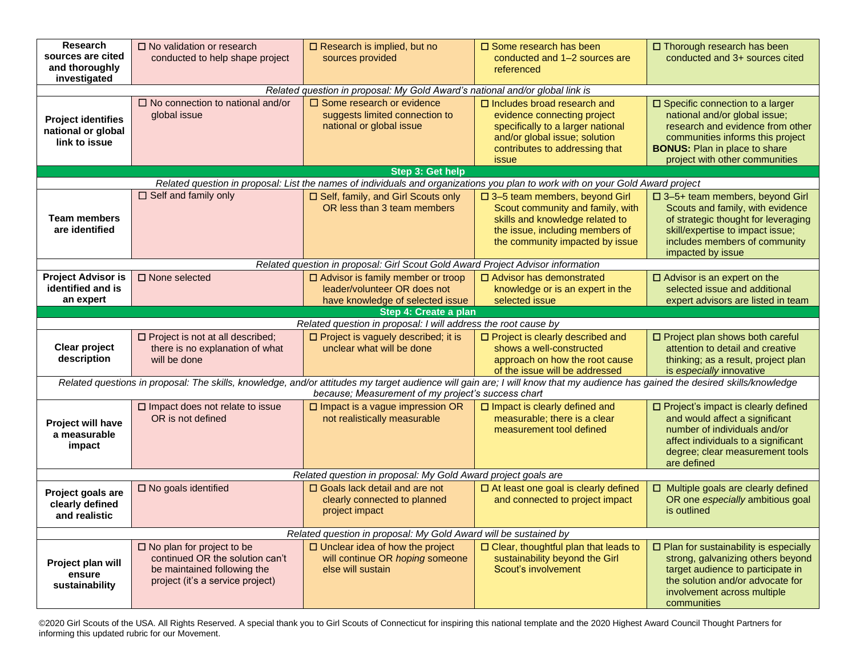| Research<br>sources are cited<br>and thoroughly<br>investigated                                                                                                                                                                     | $\square$ No validation or research<br>conducted to help shape project                                                                    | $\square$ Research is implied, but no<br>sources provided                                                       | $\square$ Some research has been<br>conducted and 1-2 sources are<br>referenced                                                                                                    | □ Thorough research has been<br>conducted and 3+ sources cited                                                                                                                                                       |  |  |  |
|-------------------------------------------------------------------------------------------------------------------------------------------------------------------------------------------------------------------------------------|-------------------------------------------------------------------------------------------------------------------------------------------|-----------------------------------------------------------------------------------------------------------------|------------------------------------------------------------------------------------------------------------------------------------------------------------------------------------|----------------------------------------------------------------------------------------------------------------------------------------------------------------------------------------------------------------------|--|--|--|
|                                                                                                                                                                                                                                     |                                                                                                                                           | Related question in proposal: My Gold Award's national and/or global link is                                    |                                                                                                                                                                                    |                                                                                                                                                                                                                      |  |  |  |
| <b>Project identifies</b><br>national or global<br>link to issue                                                                                                                                                                    | $\Box$ No connection to national and/or<br>global issue                                                                                   | $\Box$ Some research or evidence<br>suggests limited connection to<br>national or global issue                  | $\Box$ Includes broad research and<br>evidence connecting project<br>specifically to a larger national<br>and/or global issue; solution<br>contributes to addressing that<br>issue | □ Specific connection to a larger<br>national and/or global issue;<br>research and evidence from other<br>communities informs this project<br><b>BONUS:</b> Plan in place to share<br>project with other communities |  |  |  |
|                                                                                                                                                                                                                                     |                                                                                                                                           | Step 3: Get help                                                                                                |                                                                                                                                                                                    |                                                                                                                                                                                                                      |  |  |  |
|                                                                                                                                                                                                                                     |                                                                                                                                           |                                                                                                                 | Related question in proposal: List the names of individuals and organizations you plan to work with on your Gold Award project                                                     |                                                                                                                                                                                                                      |  |  |  |
| <b>Team members</b><br>are identified                                                                                                                                                                                               | $\Box$ Self and family only                                                                                                               | □ Self, family, and Girl Scouts only<br>OR less than 3 team members                                             | □ 3-5 team members, beyond Girl<br>Scout community and family, with<br>skills and knowledge related to<br>the issue, including members of<br>the community impacted by issue       | □ 3-5+ team members, beyond Girl<br>Scouts and family, with evidence<br>of strategic thought for leveraging<br>skill/expertise to impact issue;<br>includes members of community<br>impacted by issue                |  |  |  |
|                                                                                                                                                                                                                                     |                                                                                                                                           | Related question in proposal: Girl Scout Gold Award Project Advisor information                                 |                                                                                                                                                                                    |                                                                                                                                                                                                                      |  |  |  |
| <b>Project Advisor is</b><br>identified and is<br>an expert                                                                                                                                                                         | $\square$ None selected                                                                                                                   | $\Box$ Advisor is family member or troop<br>leader/volunteer OR does not<br>have knowledge of selected issue    | □ Advisor has demonstrated<br>knowledge or is an expert in the<br>selected issue                                                                                                   | $\Box$ Advisor is an expert on the<br>selected issue and additional<br>expert advisors are listed in team                                                                                                            |  |  |  |
|                                                                                                                                                                                                                                     |                                                                                                                                           | Step 4: Create a plan                                                                                           |                                                                                                                                                                                    |                                                                                                                                                                                                                      |  |  |  |
|                                                                                                                                                                                                                                     | □ Project is not at all described;                                                                                                        | Related question in proposal: I will address the root cause by<br>$\square$ Project is vaguely described; it is | □ Project is clearly described and                                                                                                                                                 | □ Project plan shows both careful                                                                                                                                                                                    |  |  |  |
| <b>Clear project</b><br>description                                                                                                                                                                                                 | there is no explanation of what<br>will be done                                                                                           | unclear what will be done                                                                                       | shows a well-constructed<br>approach on how the root cause<br>of the issue will be addressed                                                                                       | attention to detail and creative<br>thinking; as a result, project plan<br>is especially innovative                                                                                                                  |  |  |  |
| Related questions in proposal: The skills, knowledge, and/or attitudes my target audience will gain are; I will know that my audience has gained the desired skills/knowledge<br>because; Measurement of my project's success chart |                                                                                                                                           |                                                                                                                 |                                                                                                                                                                                    |                                                                                                                                                                                                                      |  |  |  |
| <b>Project will have</b><br>a measurable<br>impact                                                                                                                                                                                  | $\square$ Impact does not relate to issue<br>OR is not defined                                                                            | $\square$ Impact is a vague impression OR<br>not realistically measurable                                       | $\square$ Impact is clearly defined and<br>measurable; there is a clear<br>measurement tool defined                                                                                | □ Project's impact is clearly defined<br>and would affect a significant<br>number of individuals and/or<br>affect individuals to a significant<br>degree; clear measurement tools<br>are defined                     |  |  |  |
| Related question in proposal: My Gold Award project goals are                                                                                                                                                                       |                                                                                                                                           |                                                                                                                 |                                                                                                                                                                                    |                                                                                                                                                                                                                      |  |  |  |
| Project goals are<br>clearly defined<br>and realistic                                                                                                                                                                               | $\square$ No goals identified                                                                                                             | □ Goals lack detail and are not<br>clearly connected to planned<br>project impact                               | □ At least one goal is clearly defined<br>and connected to project impact                                                                                                          | $\Box$ Multiple goals are clearly defined<br>OR one especially ambitious goal<br>is outlined                                                                                                                         |  |  |  |
| Related question in proposal: My Gold Award will be sustained by                                                                                                                                                                    |                                                                                                                                           |                                                                                                                 |                                                                                                                                                                                    |                                                                                                                                                                                                                      |  |  |  |
| Project plan will<br>ensure<br>sustainability                                                                                                                                                                                       | $\square$ No plan for project to be<br>continued OR the solution can't<br>be maintained following the<br>project (it's a service project) | $\Box$ Unclear idea of how the project<br>will continue OR hoping someone<br>else will sustain                  | □ Clear, thoughtful plan that leads to<br>sustainability beyond the Girl<br>Scout's involvement                                                                                    | $\Box$ Plan for sustainability is especially<br>strong, galvanizing others beyond<br>target audience to participate in<br>the solution and/or advocate for<br>involvement across multiple<br>communities             |  |  |  |

©2020 Girl Scouts of the USA. All Rights Reserved. A special thank you to Girl Scouts of Connecticut for inspiring this national template and the 2020 Highest Award Council Thought Partners for informing this updated rubric for our Movement.